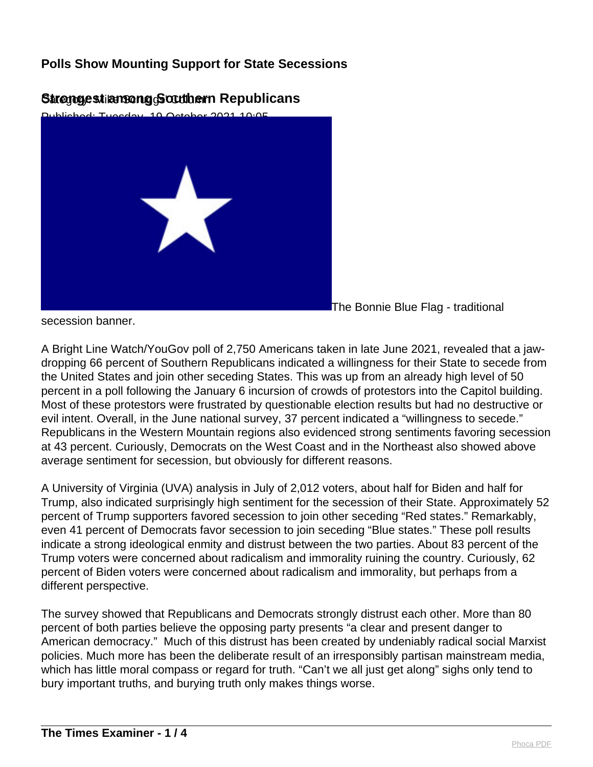

#### Strongestiansong Southern Republicans

The Bonnie Blue Flag - traditional

secession banner.

A Bright Line Watch/YouGov poll of 2,750 Americans taken in late June 2021, revealed that a jawdropping 66 percent of Southern Republicans indicated a willingness for their State to secede from the United States and join other seceding States. This was up from an already high level of 50 percent in a poll following the January 6 incursion of crowds of protestors into the Capitol building. Most of these protestors were frustrated by questionable election results but had no destructive or evil intent. Overall, in the June national survey, 37 percent indicated a "willingness to secede." Republicans in the Western Mountain regions also evidenced strong sentiments favoring secession at 43 percent. Curiously, Democrats on the West Coast and in the Northeast also showed above average sentiment for secession, but obviously for different reasons.

A University of Virginia (UVA) analysis in July of 2,012 voters, about half for Biden and half for Trump, also indicated surprisingly high sentiment for the secession of their State. Approximately 52 percent of Trump supporters favored secession to join other seceding "Red states." Remarkably, even 41 percent of Democrats favor secession to join seceding "Blue states." These poll results indicate a strong ideological enmity and distrust between the two parties. About 83 percent of the Trump voters were concerned about radicalism and immorality ruining the country. Curiously, 62 percent of Biden voters were concerned about radicalism and immorality, but perhaps from a different perspective.

The survey showed that Republicans and Democrats strongly distrust each other. More than 80 percent of both parties believe the opposing party presents "a clear and present danger to American democracy." Much of this distrust has been created by undeniably radical social Marxist policies. Much more has been the deliberate result of an irresponsibly partisan mainstream media, which has little moral compass or regard for truth. "Can't we all just get along" sighs only tend to bury important truths, and burying truth only makes things worse.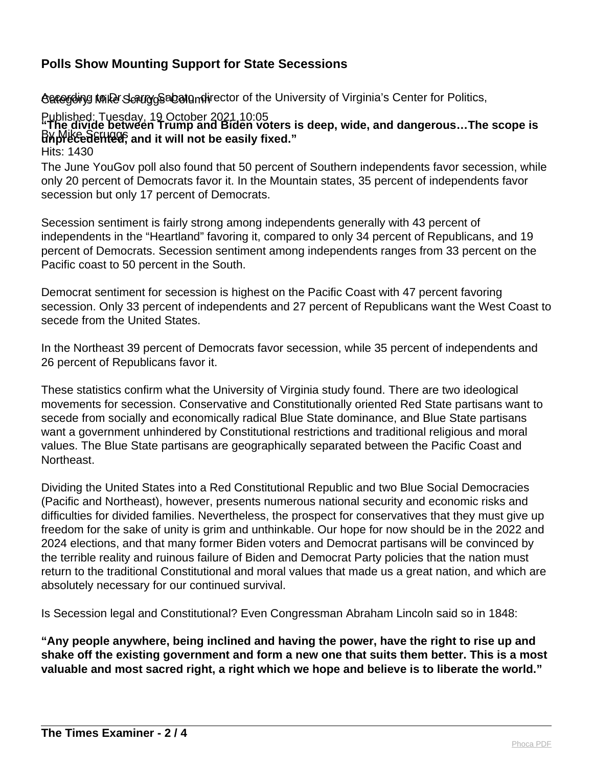ტვდერის პარამი სამის მამოთან Condination of the University of Virginia's Center for Politics,

Published: Tuesday, 19 October 2021 10:05 By Mike Sellied, and it will not be easily fixed." **"The divide between Trump and Biden voters is deep, wide, and dangerous…The scope is**

Hits: 1430

The June YouGov poll also found that 50 percent of Southern independents favor secession, while only 20 percent of Democrats favor it. In the Mountain states, 35 percent of independents favor secession but only 17 percent of Democrats.

Secession sentiment is fairly strong among independents generally with 43 percent of independents in the "Heartland" favoring it, compared to only 34 percent of Republicans, and 19 percent of Democrats. Secession sentiment among independents ranges from 33 percent on the Pacific coast to 50 percent in the South.

Democrat sentiment for secession is highest on the Pacific Coast with 47 percent favoring secession. Only 33 percent of independents and 27 percent of Republicans want the West Coast to secede from the United States.

In the Northeast 39 percent of Democrats favor secession, while 35 percent of independents and 26 percent of Republicans favor it.

These statistics confirm what the University of Virginia study found. There are two ideological movements for secession. Conservative and Constitutionally oriented Red State partisans want to secede from socially and economically radical Blue State dominance, and Blue State partisans want a government unhindered by Constitutional restrictions and traditional religious and moral values. The Blue State partisans are geographically separated between the Pacific Coast and Northeast.

Dividing the United States into a Red Constitutional Republic and two Blue Social Democracies (Pacific and Northeast), however, presents numerous national security and economic risks and difficulties for divided families. Nevertheless, the prospect for conservatives that they must give up freedom for the sake of unity is grim and unthinkable. Our hope for now should be in the 2022 and 2024 elections, and that many former Biden voters and Democrat partisans will be convinced by the terrible reality and ruinous failure of Biden and Democrat Party policies that the nation must return to the traditional Constitutional and moral values that made us a great nation, and which are absolutely necessary for our continued survival.

Is Secession legal and Constitutional? Even Congressman Abraham Lincoln said so in 1848:

**"Any people anywhere, being inclined and having the power, have the right to rise up and shake off the existing government and form a new one that suits them better. This is a most valuable and most sacred right, a right which we hope and believe is to liberate the world."**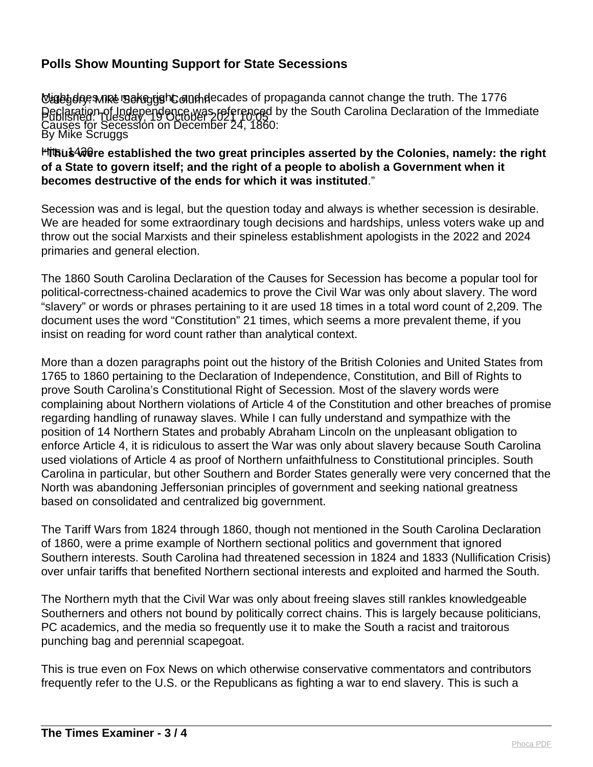**Might does nnet sake right and decades of propaganda cannot change the truth. The 1776** Published: Tuesday, 19 October 2021 Fo;05 By Mike Scruggs Declaration of Independence was referenced by the South Carolina Declaration of the Immediate Causes for Secession on December 24, 1860:

#### <sup>H</sup>Ttbu\$4砂ere established the two great principles asserted by the Colonies, namely: the right **of a State to govern itself; and the right of a people to abolish a Government when it becomes destructive of the ends for which it was instituted**."

Secession was and is legal, but the question today and always is whether secession is desirable. We are headed for some extraordinary tough decisions and hardships, unless voters wake up and throw out the social Marxists and their spineless establishment apologists in the 2022 and 2024 primaries and general election.

The 1860 South Carolina Declaration of the Causes for Secession has become a popular tool for political-correctness-chained academics to prove the Civil War was only about slavery. The word "slavery" or words or phrases pertaining to it are used 18 times in a total word count of 2,209. The document uses the word "Constitution" 21 times, which seems a more prevalent theme, if you insist on reading for word count rather than analytical context.

More than a dozen paragraphs point out the history of the British Colonies and United States from 1765 to 1860 pertaining to the Declaration of Independence, Constitution, and Bill of Rights to prove South Carolina's Constitutional Right of Secession. Most of the slavery words were complaining about Northern violations of Article 4 of the Constitution and other breaches of promise regarding handling of runaway slaves. While I can fully understand and sympathize with the position of 14 Northern States and probably Abraham Lincoln on the unpleasant obligation to enforce Article 4, it is ridiculous to assert the War was only about slavery because South Carolina used violations of Article 4 as proof of Northern unfaithfulness to Constitutional principles. South Carolina in particular, but other Southern and Border States generally were very concerned that the North was abandoning Jeffersonian principles of government and seeking national greatness based on consolidated and centralized big government.

The Tariff Wars from 1824 through 1860, though not mentioned in the South Carolina Declaration of 1860, were a prime example of Northern sectional politics and government that ignored Southern interests. South Carolina had threatened secession in 1824 and 1833 (Nullification Crisis) over unfair tariffs that benefited Northern sectional interests and exploited and harmed the South.

The Northern myth that the Civil War was only about freeing slaves still rankles knowledgeable Southerners and others not bound by politically correct chains. This is largely because politicians, PC academics, and the media so frequently use it to make the South a racist and traitorous punching bag and perennial scapegoat.

This is true even on Fox News on which otherwise conservative commentators and contributors frequently refer to the U.S. or the Republicans as fighting a war to end slavery. This is such a